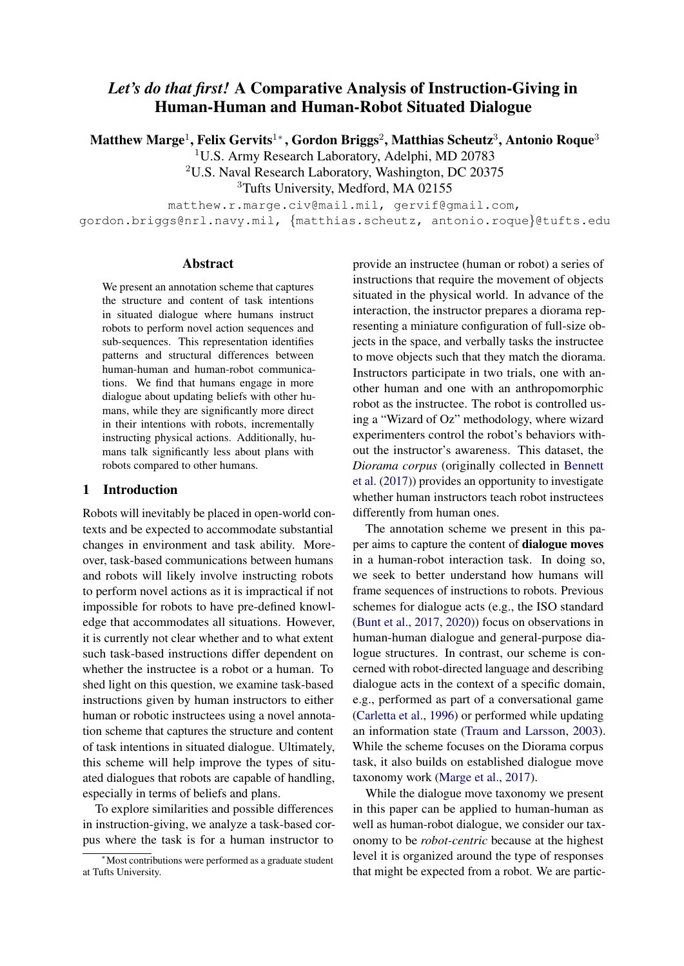# *Let's do that first!* A Comparative Analysis of Instruction-Giving in Human-Human and Human-Robot Situated Dialogue

Matthew Marge $^1$ , Felix Gervits $^{1*}$ , Gordon Briggs $^2$ , Matthias Scheutz $^3$ , Antonio Roque $^3$ 

<sup>1</sup>U.S. Army Research Laboratory, Adelphi, MD 20783

<sup>2</sup>U.S. Naval Research Laboratory, Washington, DC 20375

<sup>3</sup>Tufts University, Medford, MA 02155

matthew.r.marge.civ@mail.mil, gervif@gmail.com,

gordon.briggs@nrl.navy.mil, {matthias.scheutz, antonio.roque}@tufts.edu

#### Abstract

We present an annotation scheme that captures the structure and content of task intentions in situated dialogue where humans instruct robots to perform novel action sequences and sub-sequences. This representation identifies patterns and structural differences between human-human and human-robot communications. We find that humans engage in more dialogue about updating beliefs with other humans, while they are significantly more direct in their intentions with robots, incrementally instructing physical actions. Additionally, humans talk significantly less about plans with robots compared to other humans.

#### 1 Introduction

Robots will inevitably be placed in open-world contexts and be expected to accommodate substantial changes in environment and task ability. Moreover, task-based communications between humans and robots will likely involve instructing robots to perform novel actions as it is impractical if not impossible for robots to have pre-defined knowledge that accommodates all situations. However, it is currently not clear whether and to what extent such task-based instructions differ dependent on whether the instructee is a robot or a human. To shed light on this question, we examine task-based instructions given by human instructors to either human or robotic instructees using a novel annotation scheme that captures the structure and content of task intentions in situated dialogue. Ultimately, this scheme will help improve the types of situated dialogues that robots are capable of handling, especially in terms of beliefs and plans.

To explore similarities and possible differences in instruction-giving, we analyze a task-based corpus where the task is for a human instructor to

provide an instructee (human or robot) a series of instructions that require the movement of objects situated in the physical world. In advance of the interaction, the instructor prepares a diorama representing a miniature configuration of full-size objects in the space, and verbally tasks the instructee to move objects such that they match the diorama. Instructors participate in two trials, one with another human and one with an anthropomorphic robot as the instructee. The robot is controlled using a "Wizard of Oz" methodology, where wizard experimenters control the robot's behaviors without the instructor's awareness. This dataset, the *Diorama corpus* (originally collected in [Bennett](#page-8-0) [et al.](#page-8-0) [\(2017\)](#page-8-0)) provides an opportunity to investigate whether human instructors teach robot instructees differently from human ones.

The annotation scheme we present in this paper aims to capture the content of dialogue moves in a human-robot interaction task. In doing so, we seek to better understand how humans will frame sequences of instructions to robots. Previous schemes for dialogue acts (e.g., the ISO standard [\(Bunt et al.,](#page-8-1) [2017,](#page-8-1) [2020\)](#page-8-2)) focus on observations in human-human dialogue and general-purpose dialogue structures. In contrast, our scheme is concerned with robot-directed language and describing dialogue acts in the context of a specific domain, e.g., performed as part of a conversational game [\(Carletta et al.,](#page-8-3) [1996\)](#page-8-3) or performed while updating an information state [\(Traum and Larsson,](#page-9-0) [2003\)](#page-9-0). While the scheme focuses on the Diorama corpus task, it also builds on established dialogue move taxonomy work [\(Marge et al.,](#page-9-1) [2017\)](#page-9-1).

While the dialogue move taxonomy we present in this paper can be applied to human-human as well as human-robot dialogue, we consider our taxonomy to be *robot-centric* because at the highest level it is organized around the type of responses that might be expected from a robot. We are partic-

<sup>∗</sup>Most contributions were performed as a graduate student at Tufts University.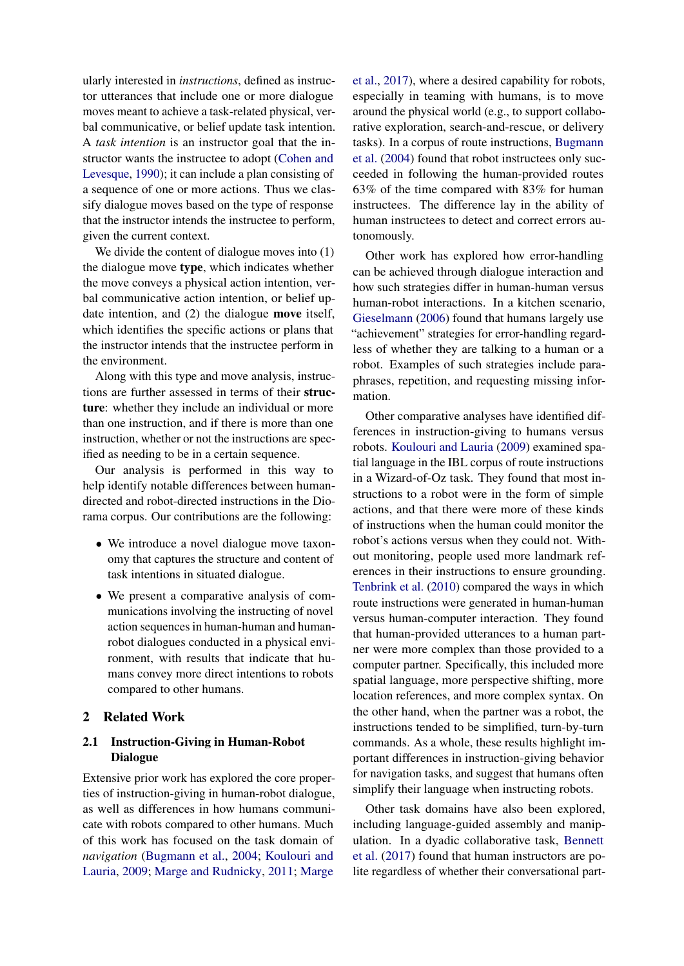ularly interested in *instructions*, defined as instructor utterances that include one or more dialogue moves meant to achieve a task-related physical, verbal communicative, or belief update task intention. A *task intention* is an instructor goal that the instructor wants the instructee to adopt [\(Cohen and](#page-8-4) [Levesque,](#page-8-4) [1990\)](#page-8-4); it can include a plan consisting of a sequence of one or more actions. Thus we classify dialogue moves based on the type of response that the instructor intends the instructee to perform, given the current context.

We divide the content of dialogue moves into (1) the dialogue move type, which indicates whether the move conveys a physical action intention, verbal communicative action intention, or belief update intention, and (2) the dialogue move itself, which identifies the specific actions or plans that the instructor intends that the instructee perform in the environment.

Along with this type and move analysis, instructions are further assessed in terms of their structure: whether they include an individual or more than one instruction, and if there is more than one instruction, whether or not the instructions are specified as needing to be in a certain sequence.

Our analysis is performed in this way to help identify notable differences between humandirected and robot-directed instructions in the Diorama corpus. Our contributions are the following:

- We introduce a novel dialogue move taxonomy that captures the structure and content of task intentions in situated dialogue.
- We present a comparative analysis of communications involving the instructing of novel action sequences in human-human and humanrobot dialogues conducted in a physical environment, with results that indicate that humans convey more direct intentions to robots compared to other humans.

## 2 Related Work

# <span id="page-1-0"></span>2.1 Instruction-Giving in Human-Robot Dialogue

Extensive prior work has explored the core properties of instruction-giving in human-robot dialogue, as well as differences in how humans communicate with robots compared to other humans. Much of this work has focused on the task domain of *navigation* [\(Bugmann et al.,](#page-8-5) [2004;](#page-8-5) [Koulouri and](#page-8-6) [Lauria,](#page-8-6) [2009;](#page-8-6) [Marge and Rudnicky,](#page-9-2) [2011;](#page-9-2) [Marge](#page-9-1)

[et al.,](#page-9-1) [2017\)](#page-9-1), where a desired capability for robots, especially in teaming with humans, is to move around the physical world (e.g., to support collaborative exploration, search-and-rescue, or delivery tasks). In a corpus of route instructions, [Bugmann](#page-8-5) [et al.](#page-8-5) [\(2004\)](#page-8-5) found that robot instructees only succeeded in following the human-provided routes 63% of the time compared with 83% for human instructees. The difference lay in the ability of human instructees to detect and correct errors autonomously.

Other work has explored how error-handling can be achieved through dialogue interaction and how such strategies differ in human-human versus human-robot interactions. In a kitchen scenario, [Gieselmann](#page-8-7) [\(2006\)](#page-8-7) found that humans largely use "achievement" strategies for error-handling regardless of whether they are talking to a human or a robot. Examples of such strategies include paraphrases, repetition, and requesting missing information.

Other comparative analyses have identified differences in instruction-giving to humans versus robots. [Koulouri and Lauria](#page-8-6) [\(2009\)](#page-8-6) examined spatial language in the IBL corpus of route instructions in a Wizard-of-Oz task. They found that most instructions to a robot were in the form of simple actions, and that there were more of these kinds of instructions when the human could monitor the robot's actions versus when they could not. Without monitoring, people used more landmark references in their instructions to ensure grounding. [Tenbrink et al.](#page-9-3) [\(2010\)](#page-9-3) compared the ways in which route instructions were generated in human-human versus human-computer interaction. They found that human-provided utterances to a human partner were more complex than those provided to a computer partner. Specifically, this included more spatial language, more perspective shifting, more location references, and more complex syntax. On the other hand, when the partner was a robot, the instructions tended to be simplified, turn-by-turn commands. As a whole, these results highlight important differences in instruction-giving behavior for navigation tasks, and suggest that humans often simplify their language when instructing robots.

Other task domains have also been explored, including language-guided assembly and manipulation. In a dyadic collaborative task, [Bennett](#page-8-0) [et al.](#page-8-0) [\(2017\)](#page-8-0) found that human instructors are polite regardless of whether their conversational part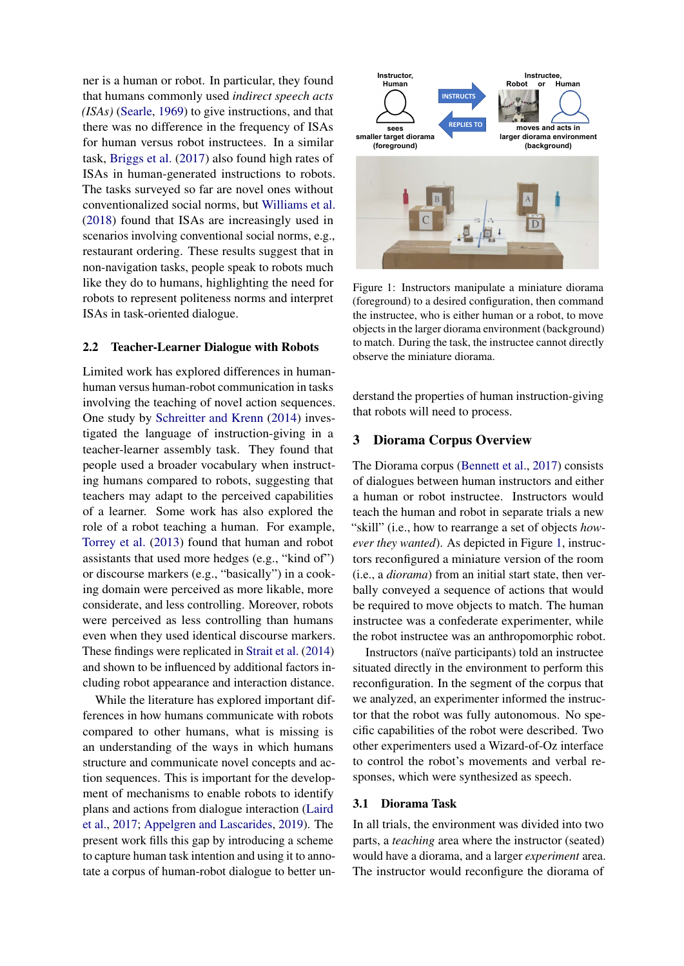ner is a human or robot. In particular, they found that humans commonly used *indirect speech acts (ISAs)* [\(Searle,](#page-9-4) [1969\)](#page-9-4) to give instructions, and that there was no difference in the frequency of ISAs for human versus robot instructees. In a similar task, [Briggs et al.](#page-8-8) [\(2017\)](#page-8-8) also found high rates of ISAs in human-generated instructions to robots. The tasks surveyed so far are novel ones without conventionalized social norms, but [Williams et al.](#page-9-5) [\(2018\)](#page-9-5) found that ISAs are increasingly used in scenarios involving conventional social norms, e.g., restaurant ordering. These results suggest that in non-navigation tasks, people speak to robots much like they do to humans, highlighting the need for robots to represent politeness norms and interpret ISAs in task-oriented dialogue.

#### 2.2 Teacher-Learner Dialogue with Robots

Limited work has explored differences in humanhuman versus human-robot communication in tasks involving the teaching of novel action sequences. One study by [Schreitter and Krenn](#page-9-6) [\(2014\)](#page-9-6) investigated the language of instruction-giving in a teacher-learner assembly task. They found that people used a broader vocabulary when instructing humans compared to robots, suggesting that teachers may adapt to the perceived capabilities of a learner. Some work has also explored the role of a robot teaching a human. For example, [Torrey et al.](#page-9-7) [\(2013\)](#page-9-7) found that human and robot assistants that used more hedges (e.g., "kind of") or discourse markers (e.g., "basically") in a cooking domain were perceived as more likable, more considerate, and less controlling. Moreover, robots were perceived as less controlling than humans even when they used identical discourse markers. These findings were replicated in [Strait et al.](#page-9-8) [\(2014\)](#page-9-8) and shown to be influenced by additional factors including robot appearance and interaction distance.

While the literature has explored important differences in how humans communicate with robots compared to other humans, what is missing is an understanding of the ways in which humans structure and communicate novel concepts and action sequences. This is important for the development of mechanisms to enable robots to identify plans and actions from dialogue interaction [\(Laird](#page-8-9) [et al.,](#page-8-9) [2017;](#page-8-9) [Appelgren and Lascarides,](#page-8-10) [2019\)](#page-8-10). The present work fills this gap by introducing a scheme to capture human task intention and using it to annotate a corpus of human-robot dialogue to better un-

<span id="page-2-0"></span>

Figure 1: Instructors manipulate a miniature diorama (foreground) to a desired configuration, then command the instructee, who is either human or a robot, to move objects in the larger diorama environment (background) to match. During the task, the instructee cannot directly observe the miniature diorama.

derstand the properties of human instruction-giving that robots will need to process.

#### 3 Diorama Corpus Overview

The Diorama corpus [\(Bennett et al.,](#page-8-0) [2017\)](#page-8-0) consists of dialogues between human instructors and either a human or robot instructee. Instructors would teach the human and robot in separate trials a new "skill" (i.e., how to rearrange a set of objects *however they wanted*). As depicted in Figure [1,](#page-2-0) instructors reconfigured a miniature version of the room (i.e., a *diorama*) from an initial start state, then verbally conveyed a sequence of actions that would be required to move objects to match. The human instructee was a confederate experimenter, while the robot instructee was an anthropomorphic robot.

Instructors (naïve participants) told an instructee situated directly in the environment to perform this reconfiguration. In the segment of the corpus that we analyzed, an experimenter informed the instructor that the robot was fully autonomous. No specific capabilities of the robot were described. Two other experimenters used a Wizard-of-Oz interface to control the robot's movements and verbal responses, which were synthesized as speech.

#### 3.1 Diorama Task

In all trials, the environment was divided into two parts, a *teaching* area where the instructor (seated) would have a diorama, and a larger *experiment* area. The instructor would reconfigure the diorama of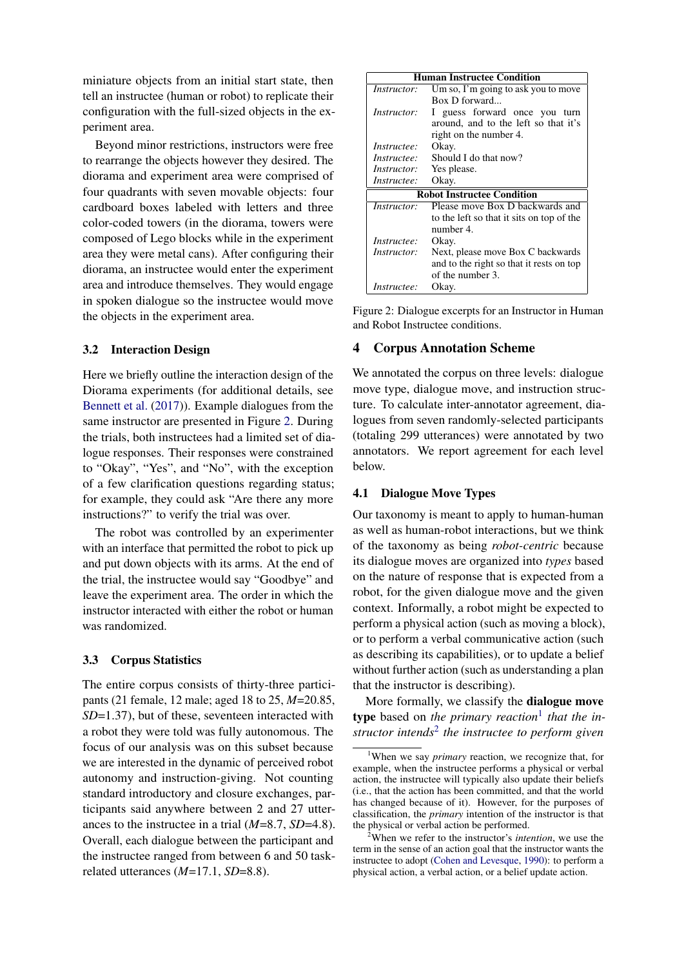miniature objects from an initial start state, then tell an instructee (human or robot) to replicate their configuration with the full-sized objects in the experiment area.

Beyond minor restrictions, instructors were free to rearrange the objects however they desired. The diorama and experiment area were comprised of four quadrants with seven movable objects: four cardboard boxes labeled with letters and three color-coded towers (in the diorama, towers were composed of Lego blocks while in the experiment area they were metal cans). After configuring their diorama, an instructee would enter the experiment area and introduce themselves. They would engage in spoken dialogue so the instructee would move the objects in the experiment area.

## 3.2 Interaction Design

Here we briefly outline the interaction design of the Diorama experiments (for additional details, see [Bennett et al.](#page-8-0) [\(2017\)](#page-8-0)). Example dialogues from the same instructor are presented in Figure [2.](#page-3-0) During the trials, both instructees had a limited set of dialogue responses. Their responses were constrained to "Okay", "Yes", and "No", with the exception of a few clarification questions regarding status; for example, they could ask "Are there any more instructions?" to verify the trial was over.

The robot was controlled by an experimenter with an interface that permitted the robot to pick up and put down objects with its arms. At the end of the trial, the instructee would say "Goodbye" and leave the experiment area. The order in which the instructor interacted with either the robot or human was randomized.

#### 3.3 Corpus Statistics

The entire corpus consists of thirty-three participants (21 female, 12 male; aged 18 to 25, *M*=20.85, *SD*=1.37), but of these, seventeen interacted with a robot they were told was fully autonomous. The focus of our analysis was on this subset because we are interested in the dynamic of perceived robot autonomy and instruction-giving. Not counting standard introductory and closure exchanges, participants said anywhere between 2 and 27 utterances to the instructee in a trial (*M*=8.7, *SD*=4.8). Overall, each dialogue between the participant and the instructee ranged from between 6 and 50 taskrelated utterances (*M*=17.1, *SD*=8.8).

<span id="page-3-0"></span>

| <b>Human Instructee Condition</b>         |                                          |  |  |  |  |  |
|-------------------------------------------|------------------------------------------|--|--|--|--|--|
| <i>Instructor:</i>                        | Um so, I'm going to ask you to move      |  |  |  |  |  |
|                                           | Box D forward                            |  |  |  |  |  |
| <i>Instructor:</i>                        | I guess forward once you turn            |  |  |  |  |  |
| around, and to the left so that it's      |                                          |  |  |  |  |  |
| right on the number 4.                    |                                          |  |  |  |  |  |
| <i>Instructee:</i>                        | Okay.                                    |  |  |  |  |  |
| <i>Instructee:</i>                        | Should I do that now?                    |  |  |  |  |  |
| <i>Instructor:</i>                        | Yes please.                              |  |  |  |  |  |
| Instructee:                               | Okay.                                    |  |  |  |  |  |
| <b>Robot Instructee Condition</b>         |                                          |  |  |  |  |  |
| <i>Instructor:</i>                        | Please move Box D backwards and          |  |  |  |  |  |
| to the left so that it sits on top of the |                                          |  |  |  |  |  |
|                                           | number 4.                                |  |  |  |  |  |
| Instructee:                               | Okay.                                    |  |  |  |  |  |
| Instructor:                               | Next, please move Box C backwards        |  |  |  |  |  |
|                                           | and to the right so that it rests on top |  |  |  |  |  |
|                                           | of the number 3.                         |  |  |  |  |  |
| <i>Instructee:</i>                        | Okay.                                    |  |  |  |  |  |

Figure 2: Dialogue excerpts for an Instructor in Human and Robot Instructee conditions.

#### 4 Corpus Annotation Scheme

We annotated the corpus on three levels: dialogue move type, dialogue move, and instruction structure. To calculate inter-annotator agreement, dialogues from seven randomly-selected participants (totaling 299 utterances) were annotated by two annotators. We report agreement for each level below.

## <span id="page-3-3"></span>4.1 Dialogue Move Types

Our taxonomy is meant to apply to human-human as well as human-robot interactions, but we think of the taxonomy as being *robot-centric* because its dialogue moves are organized into *types* based on the nature of response that is expected from a robot, for the given dialogue move and the given context. Informally, a robot might be expected to perform a physical action (such as moving a block), or to perform a verbal communicative action (such as describing its capabilities), or to update a belief without further action (such as understanding a plan that the instructor is describing).

More formally, we classify the dialogue move type based on *the primary reaction*[1](#page-3-1) *that the instructor intends*[2](#page-3-2) *the instructee to perform given*

<span id="page-3-1"></span><sup>1</sup>When we say *primary* reaction, we recognize that, for example, when the instructee performs a physical or verbal action, the instructee will typically also update their beliefs (i.e., that the action has been committed, and that the world has changed because of it). However, for the purposes of classification, the *primary* intention of the instructor is that the physical or verbal action be performed.

<span id="page-3-2"></span><sup>2</sup>When we refer to the instructor's *intention*, we use the term in the sense of an action goal that the instructor wants the instructee to adopt [\(Cohen and Levesque,](#page-8-4) [1990\)](#page-8-4): to perform a physical action, a verbal action, or a belief update action.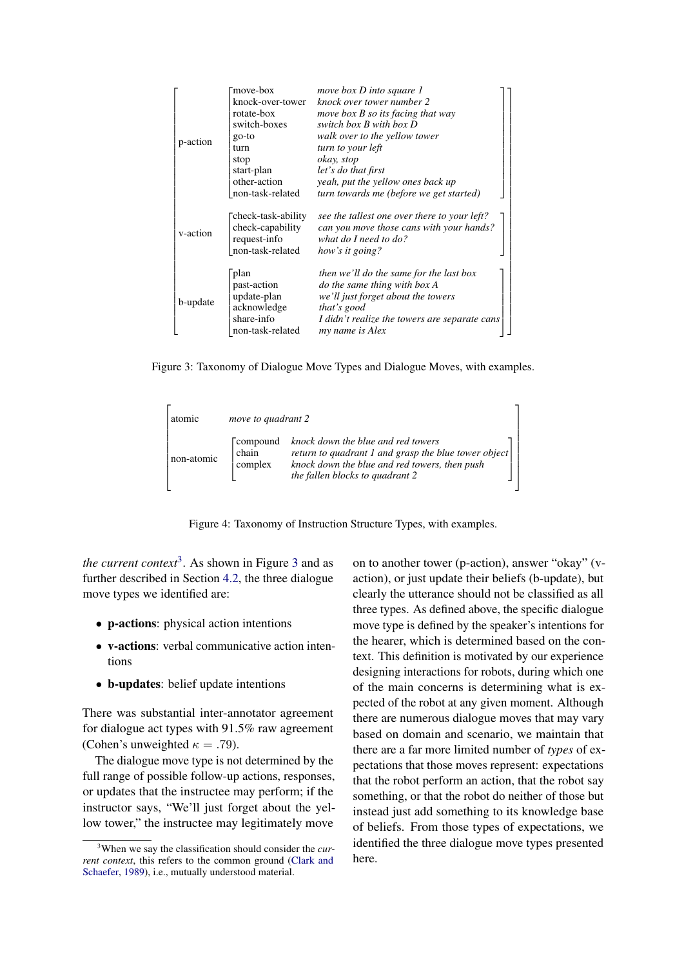<span id="page-4-1"></span>

|          | move-box                                                                            | move box D into square 1                                                                                                                                                                                |
|----------|-------------------------------------------------------------------------------------|---------------------------------------------------------------------------------------------------------------------------------------------------------------------------------------------------------|
|          | knock-over-tower                                                                    | knock over tower number 2                                                                                                                                                                               |
|          | rotate-box                                                                          | move box B so its facing that way                                                                                                                                                                       |
|          | switch-boxes                                                                        | switch box $B$ with box $D$                                                                                                                                                                             |
|          | go-to                                                                               | walk over to the yellow tower                                                                                                                                                                           |
| p-action | turn                                                                                | turn to your left                                                                                                                                                                                       |
|          | stop                                                                                | okay, stop                                                                                                                                                                                              |
|          | start-plan                                                                          | let's do that first                                                                                                                                                                                     |
|          | other-action                                                                        | yeah, put the yellow ones back up                                                                                                                                                                       |
|          | non-task-related                                                                    | turn towards me (before we get started)                                                                                                                                                                 |
| v-action | check-task-ability<br>check-capability<br>request-info<br>non-task-related          | see the tallest one over there to your left?<br>can you move those cans with your hands?<br>what do I need to $do$ ?<br>how's it going?                                                                 |
| b-update | plan<br>past-action<br>update-plan<br>acknowledge<br>share-info<br>non-task-related | then we'll do the same for the last box<br><i>do the same thing with box A</i><br>we'll just forget about the towers<br>that's good<br>I didn't realize the towers are separate cans<br>my name is Alex |

<span id="page-4-2"></span>Figure 3: Taxonomy of Dialogue Move Types and Dialogue Moves, with examples.

| atomic     | move to quadrant 2                  |                                                                                                                                                                                |
|------------|-------------------------------------|--------------------------------------------------------------------------------------------------------------------------------------------------------------------------------|
| non-atomic | <b>Compound</b><br>chain<br>complex | knock down the blue and red towers<br>return to quadrant 1 and grasp the blue tower object<br>knock down the blue and red towers, then push<br>the fallen blocks to quadrant 2 |

Figure 4: Taxonomy of Instruction Structure Types, with examples.

*the current context*[3](#page-4-0) . As shown in Figure [3](#page-4-1) and as further described in Section [4.2,](#page-5-0) the three dialogue move types we identified are:

- p-actions: physical action intentions
- v-actions: verbal communicative action intentions
- b-updates: belief update intentions

There was substantial inter-annotator agreement for dialogue act types with 91.5% raw agreement (Cohen's unweighted  $\kappa = .79$ ).

The dialogue move type is not determined by the full range of possible follow-up actions, responses, or updates that the instructee may perform; if the instructor says, "We'll just forget about the yellow tower," the instructee may legitimately move

on to another tower (p-action), answer "okay" (vaction), or just update their beliefs (b-update), but clearly the utterance should not be classified as all three types. As defined above, the specific dialogue move type is defined by the speaker's intentions for the hearer, which is determined based on the context. This definition is motivated by our experience designing interactions for robots, during which one of the main concerns is determining what is expected of the robot at any given moment. Although there are numerous dialogue moves that may vary based on domain and scenario, we maintain that there are a far more limited number of *types* of expectations that those moves represent: expectations that the robot perform an action, that the robot say something, or that the robot do neither of those but instead just add something to its knowledge base of beliefs. From those types of expectations, we identified the three dialogue move types presented here.

1  $\overline{1}$  $\perp$  $\overline{1}$  $\overline{1}$  $\perp$  $\overline{1}$  $\overline{1}$  $\perp$  $\overline{1}$  $\overline{1}$  $\mathbf{I}$  $\overline{1}$  $\overline{1}$  $\perp$  $\overline{1}$  $\overline{1}$  $\perp$  $\overline{1}$  $\overline{1}$  $\overline{1}$  $\overline{1}$  $\overline{1}$  $\overline{1}$  $\overline{1}$  $\overline{1}$  $\overline{1}$  $\overline{1}$  $\overline{1}$  $\overline{1}$  $\overline{1}$  $\mathbf{I}$  $\overline{1}$  $\overline{1}$  $\perp$  $\overline{\phantom{a}}$ 

<span id="page-4-0"></span><sup>3</sup>When we say the classification should consider the *current context*, this refers to the common ground [\(Clark and](#page-8-11) [Schaefer,](#page-8-11) [1989\)](#page-8-11), i.e., mutually understood material.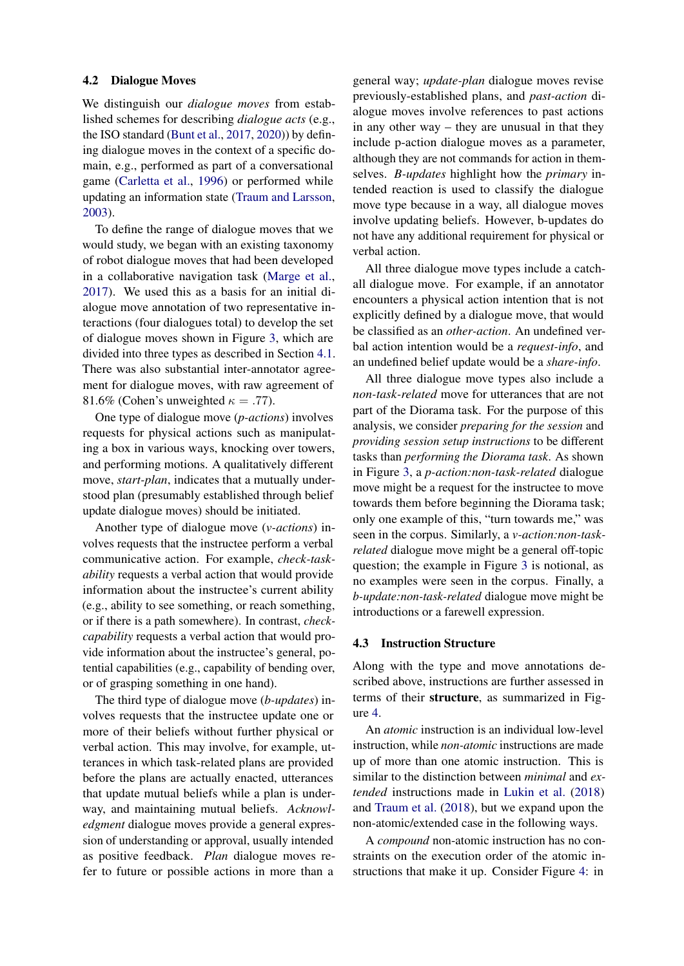#### <span id="page-5-0"></span>4.2 Dialogue Moves

We distinguish our *dialogue moves* from established schemes for describing *dialogue acts* (e.g., the ISO standard [\(Bunt et al.,](#page-8-1) [2017,](#page-8-1) [2020\)](#page-8-2)) by defining dialogue moves in the context of a specific domain, e.g., performed as part of a conversational game [\(Carletta et al.,](#page-8-3) [1996\)](#page-8-3) or performed while updating an information state [\(Traum and Larsson,](#page-9-0) [2003\)](#page-9-0).

To define the range of dialogue moves that we would study, we began with an existing taxonomy of robot dialogue moves that had been developed in a collaborative navigation task [\(Marge et al.,](#page-9-1) [2017\)](#page-9-1). We used this as a basis for an initial dialogue move annotation of two representative interactions (four dialogues total) to develop the set of dialogue moves shown in Figure [3,](#page-4-1) which are divided into three types as described in Section [4.1.](#page-3-3) There was also substantial inter-annotator agreement for dialogue moves, with raw agreement of 81.6% (Cohen's unweighted  $\kappa = .77$ ).

One type of dialogue move (*p-actions*) involves requests for physical actions such as manipulating a box in various ways, knocking over towers, and performing motions. A qualitatively different move, *start-plan*, indicates that a mutually understood plan (presumably established through belief update dialogue moves) should be initiated.

Another type of dialogue move (*v-actions*) involves requests that the instructee perform a verbal communicative action. For example, *check-taskability* requests a verbal action that would provide information about the instructee's current ability (e.g., ability to see something, or reach something, or if there is a path somewhere). In contrast, *checkcapability* requests a verbal action that would provide information about the instructee's general, potential capabilities (e.g., capability of bending over, or of grasping something in one hand).

The third type of dialogue move (*b-updates*) involves requests that the instructee update one or more of their beliefs without further physical or verbal action. This may involve, for example, utterances in which task-related plans are provided before the plans are actually enacted, utterances that update mutual beliefs while a plan is underway, and maintaining mutual beliefs. *Acknowledgment* dialogue moves provide a general expression of understanding or approval, usually intended as positive feedback. *Plan* dialogue moves refer to future or possible actions in more than a

general way; *update-plan* dialogue moves revise previously-established plans, and *past-action* dialogue moves involve references to past actions in any other way – they are unusual in that they include p-action dialogue moves as a parameter, although they are not commands for action in themselves. *B-updates* highlight how the *primary* intended reaction is used to classify the dialogue move type because in a way, all dialogue moves involve updating beliefs. However, b-updates do not have any additional requirement for physical or verbal action.

All three dialogue move types include a catchall dialogue move. For example, if an annotator encounters a physical action intention that is not explicitly defined by a dialogue move, that would be classified as an *other-action*. An undefined verbal action intention would be a *request-info*, and an undefined belief update would be a *share-info*.

All three dialogue move types also include a *non-task-related* move for utterances that are not part of the Diorama task. For the purpose of this analysis, we consider *preparing for the session* and *providing session setup instructions* to be different tasks than *performing the Diorama task*. As shown in Figure [3,](#page-4-1) a *p-action:non-task-related* dialogue move might be a request for the instructee to move towards them before beginning the Diorama task; only one example of this, "turn towards me," was seen in the corpus. Similarly, a *v-action:non-taskrelated* dialogue move might be a general off-topic question; the example in Figure [3](#page-4-1) is notional, as no examples were seen in the corpus. Finally, a *b-update:non-task-related* dialogue move might be introductions or a farewell expression.

## 4.3 Instruction Structure

Along with the type and move annotations described above, instructions are further assessed in terms of their structure, as summarized in Figure [4.](#page-4-2)

An *atomic* instruction is an individual low-level instruction, while *non-atomic* instructions are made up of more than one atomic instruction. This is similar to the distinction between *minimal* and *extended* instructions made in [Lukin et al.](#page-9-9) [\(2018\)](#page-9-9) and [Traum et al.](#page-9-10) [\(2018\)](#page-9-10), but we expand upon the non-atomic/extended case in the following ways.

A *compound* non-atomic instruction has no constraints on the execution order of the atomic instructions that make it up. Consider Figure [4:](#page-4-2) in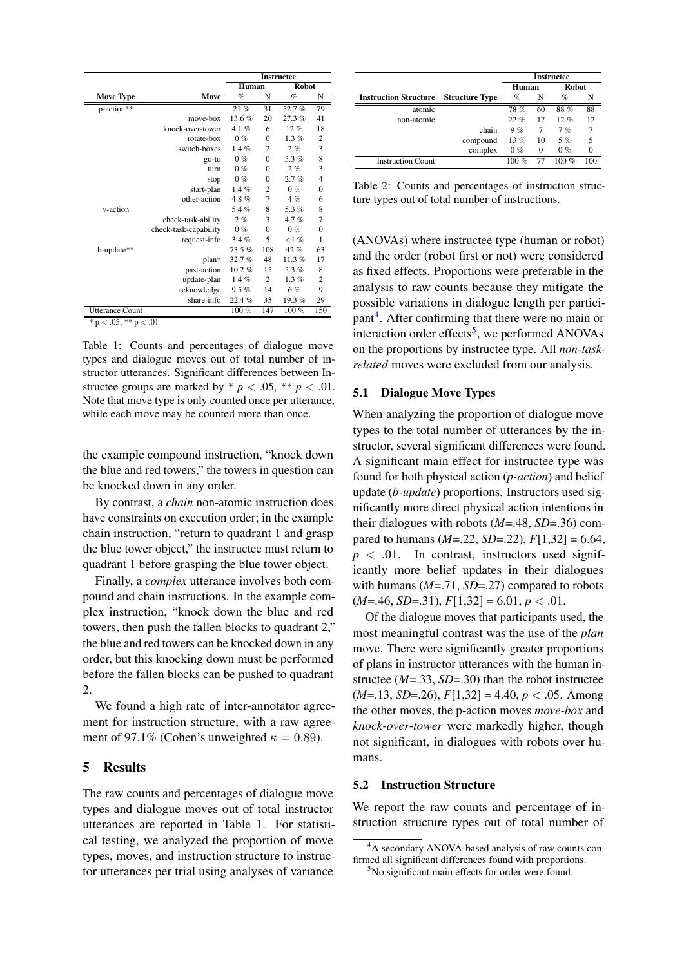<span id="page-6-0"></span>

|                            |                       | <b>Instructee</b> |                |              |                |
|----------------------------|-----------------------|-------------------|----------------|--------------|----------------|
|                            |                       | Human             |                | <b>Robot</b> |                |
| <b>Move Type</b>           | Move                  | $\%$              | N              | $\%$         | N              |
| p-action**                 |                       | 21%               | 31             | 52.7%        | 79             |
|                            | move-box              | 13.6%             | 20             | 27.3%        | 41             |
|                            | knock-over-tower      | 4.1 $%$           | 6              | 12%          | 18             |
|                            | rotate-box            | 0%                | $\mathbf{0}$   | 1.3%         | $\overline{c}$ |
|                            | switch-boxes          | $1.4\%$           | $\overline{2}$ | 2%           | 3              |
|                            | go-to                 | $0\%$             | $\mathbf{0}$   | 5.3%         | 8              |
|                            | turn                  | $0\%$             | $\theta$       | 2%           | 3              |
|                            | stop                  | $0\%$             | $\mathbf{0}$   | 2.7%         | $\overline{4}$ |
|                            | start-plan            | 1.4%              | $\overline{c}$ | $0\%$        | $\overline{0}$ |
|                            | other-action          | $4.8 \%$          | 7              | 4%           | 6              |
| v-action                   |                       | 5.4%              | 8              | 5.3%         | 8              |
|                            | check-task-ability    | 2%                | 3              | 4.7%         | 7              |
|                            | check-task-capability | $0\%$             | $\mathbf{0}$   | $0\%$        | $\overline{0}$ |
|                            | request-info          | 3.4%              | 5              | $<$ 1 %      | 1              |
| b-update**                 |                       | 73.5%             | 108            | 42%          | 63             |
|                            | plan*                 | 32.7%             | 48             | 11.3%        | 17             |
|                            | past-action           | $10.2 \%$         | 15             | 5.3%         | 8              |
|                            | update-plan           | $1.4\%$           | $\overline{c}$ | $1.3\%$      | $\overline{2}$ |
|                            | acknowledge           | 9.5%              | 14             | 6%           | 9              |
|                            | share-info            | 22.4%             | 33             | 19.3%        | 29             |
| <b>Utterance Count</b>     |                       | $100\%$           | 147            | $100\%$      | 150            |
| * $p < .05$ ; ** $p < .01$ |                       |                   |                |              |                |

Table 1: Counts and percentages of dialogue move types and dialogue moves out of total number of instructor utterances. Significant differences between Instructee groups are marked by  $* p < .05$ ,  $** p < .01$ . Note that move type is only counted once per utterance, while each move may be counted more than once.

the example compound instruction, "knock down the blue and red towers," the towers in question can be knocked down in any order.

By contrast, a *chain* non-atomic instruction does have constraints on execution order; in the example chain instruction, "return to quadrant 1 and grasp the blue tower object," the instructee must return to quadrant 1 before grasping the blue tower object.

Finally, a *complex* utterance involves both compound and chain instructions. In the example complex instruction, "knock down the blue and red towers, then push the fallen blocks to quadrant 2," the blue and red towers can be knocked down in any order, but this knocking down must be performed before the fallen blocks can be pushed to quadrant 2.

We found a high rate of inter-annotator agreement for instruction structure, with a raw agreement of 97.1% (Cohen's unweighted  $\kappa = 0.89$ ).

## 5 Results

The raw counts and percentages of dialogue move types and dialogue moves out of total instructor utterances are reported in Table [1.](#page-6-0) For statistical testing, we analyzed the proportion of move types, moves, and instruction structure to instructor utterances per trial using analyses of variance

<span id="page-6-3"></span>

|                              |                       | <b>Instructee</b> |          |              |                  |
|------------------------------|-----------------------|-------------------|----------|--------------|------------------|
|                              |                       | Human             |          | <b>Robot</b> |                  |
| <b>Instruction Structure</b> | <b>Structure Type</b> | $\%$              | N        | $\%$         | N                |
| atomic                       |                       | 78%               | 60       | 88%          | 88               |
| non-atomic                   |                       | $22. \%$          | 17       | $12. \%$     | 12               |
|                              | chain                 | 9%                | 7        | 7%           | 7                |
|                              | compound              | 13%               | 10       | 5%           | 5                |
|                              | complex               | $0\%$             | $\Omega$ | $0\%$        | $\boldsymbol{0}$ |
| <b>Instruction Count</b>     |                       | 100 $%$           | 77       | 100 $%$      | 100              |

Table 2: Counts and percentages of instruction structure types out of total number of instructions.

(ANOVAs) where instructee type (human or robot) and the order (robot first or not) were considered as fixed effects. Proportions were preferable in the analysis to raw counts because they mitigate the possible variations in dialogue length per partici-pant<sup>[4](#page-6-1)</sup>. After confirming that there were no main or interaction order effects<sup>[5](#page-6-2)</sup>, we performed ANOVAs on the proportions by instructee type. All *non-taskrelated* moves were excluded from our analysis.

#### 5.1 Dialogue Move Types

When analyzing the proportion of dialogue move types to the total number of utterances by the instructor, several significant differences were found. A significant main effect for instructee type was found for both physical action (*p-action*) and belief update (*b-update*) proportions. Instructors used significantly more direct physical action intentions in their dialogues with robots (*M*=.48, *SD*=.36) compared to humans  $(M=22, SD=22), F[1,32] = 6.64$ ,  $p < .01$ . In contrast, instructors used significantly more belief updates in their dialogues with humans (*M*=.71, *SD*=.27) compared to robots  $(M=46, SD=31), F[1,32] = 6.01, p < .01.$ 

Of the dialogue moves that participants used, the most meaningful contrast was the use of the *plan* move. There were significantly greater proportions of plans in instructor utterances with the human instructee (*M*=.33, *SD*=.30) than the robot instructee (*M*=.13, *SD*=.26), *F*[1,32] = 4.40, *p* < .05. Among the other moves, the p-action moves *move-box* and *knock-over-tower* were markedly higher, though not significant, in dialogues with robots over humans.

## 5.2 Instruction Structure

We report the raw counts and percentage of instruction structure types out of total number of

<span id="page-6-1"></span><sup>&</sup>lt;sup>4</sup>A secondary ANOVA-based analysis of raw counts confirmed all significant differences found with proportions.

<span id="page-6-2"></span><sup>5</sup>No significant main effects for order were found.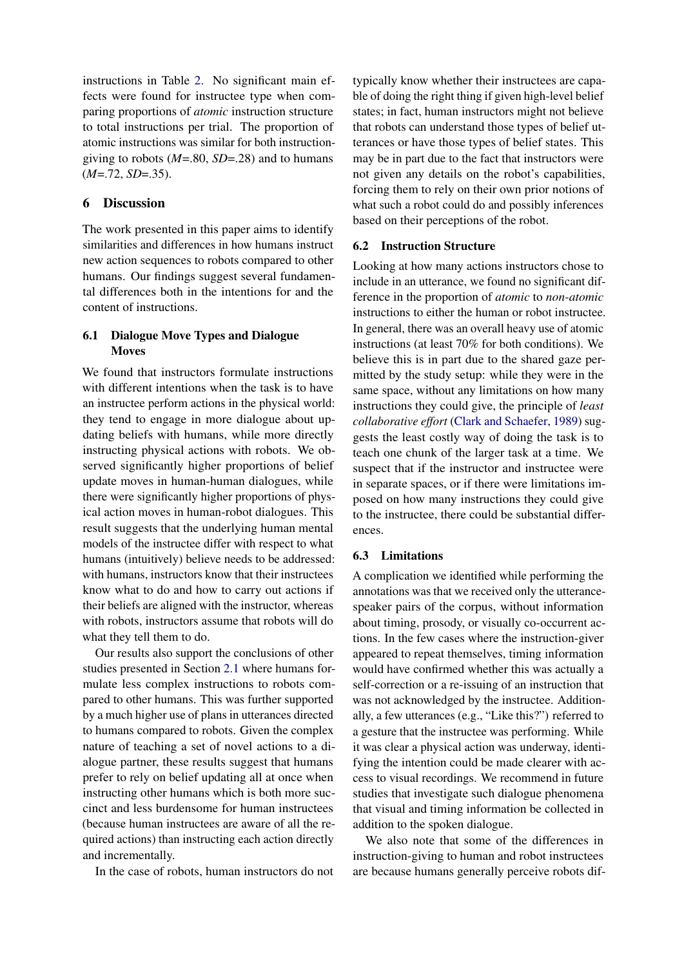instructions in Table [2.](#page-6-3) No significant main effects were found for instructee type when comparing proportions of *atomic* instruction structure to total instructions per trial. The proportion of atomic instructions was similar for both instructiongiving to robots (*M*=.80, *SD*=.28) and to humans  $(M=.72, SD=.35)$ .

## 6 Discussion

The work presented in this paper aims to identify similarities and differences in how humans instruct new action sequences to robots compared to other humans. Our findings suggest several fundamental differences both in the intentions for and the content of instructions.

# 6.1 Dialogue Move Types and Dialogue **Moves**

We found that instructors formulate instructions with different intentions when the task is to have an instructee perform actions in the physical world: they tend to engage in more dialogue about updating beliefs with humans, while more directly instructing physical actions with robots. We observed significantly higher proportions of belief update moves in human-human dialogues, while there were significantly higher proportions of physical action moves in human-robot dialogues. This result suggests that the underlying human mental models of the instructee differ with respect to what humans (intuitively) believe needs to be addressed: with humans, instructors know that their instructees know what to do and how to carry out actions if their beliefs are aligned with the instructor, whereas with robots, instructors assume that robots will do what they tell them to do.

Our results also support the conclusions of other studies presented in Section [2.1](#page-1-0) where humans formulate less complex instructions to robots compared to other humans. This was further supported by a much higher use of plans in utterances directed to humans compared to robots. Given the complex nature of teaching a set of novel actions to a dialogue partner, these results suggest that humans prefer to rely on belief updating all at once when instructing other humans which is both more succinct and less burdensome for human instructees (because human instructees are aware of all the required actions) than instructing each action directly and incrementally.

In the case of robots, human instructors do not

typically know whether their instructees are capable of doing the right thing if given high-level belief states; in fact, human instructors might not believe that robots can understand those types of belief utterances or have those types of belief states. This may be in part due to the fact that instructors were not given any details on the robot's capabilities, forcing them to rely on their own prior notions of what such a robot could do and possibly inferences based on their perceptions of the robot.

#### 6.2 Instruction Structure

Looking at how many actions instructors chose to include in an utterance, we found no significant difference in the proportion of *atomic* to *non-atomic* instructions to either the human or robot instructee. In general, there was an overall heavy use of atomic instructions (at least 70% for both conditions). We believe this is in part due to the shared gaze permitted by the study setup: while they were in the same space, without any limitations on how many instructions they could give, the principle of *least collaborative effort* [\(Clark and Schaefer,](#page-8-11) [1989\)](#page-8-11) suggests the least costly way of doing the task is to teach one chunk of the larger task at a time. We suspect that if the instructor and instructee were in separate spaces, or if there were limitations imposed on how many instructions they could give to the instructee, there could be substantial differences.

#### 6.3 Limitations

A complication we identified while performing the annotations was that we received only the utterancespeaker pairs of the corpus, without information about timing, prosody, or visually co-occurrent actions. In the few cases where the instruction-giver appeared to repeat themselves, timing information would have confirmed whether this was actually a self-correction or a re-issuing of an instruction that was not acknowledged by the instructee. Additionally, a few utterances (e.g., "Like this?") referred to a gesture that the instructee was performing. While it was clear a physical action was underway, identifying the intention could be made clearer with access to visual recordings. We recommend in future studies that investigate such dialogue phenomena that visual and timing information be collected in addition to the spoken dialogue.

We also note that some of the differences in instruction-giving to human and robot instructees are because humans generally perceive robots dif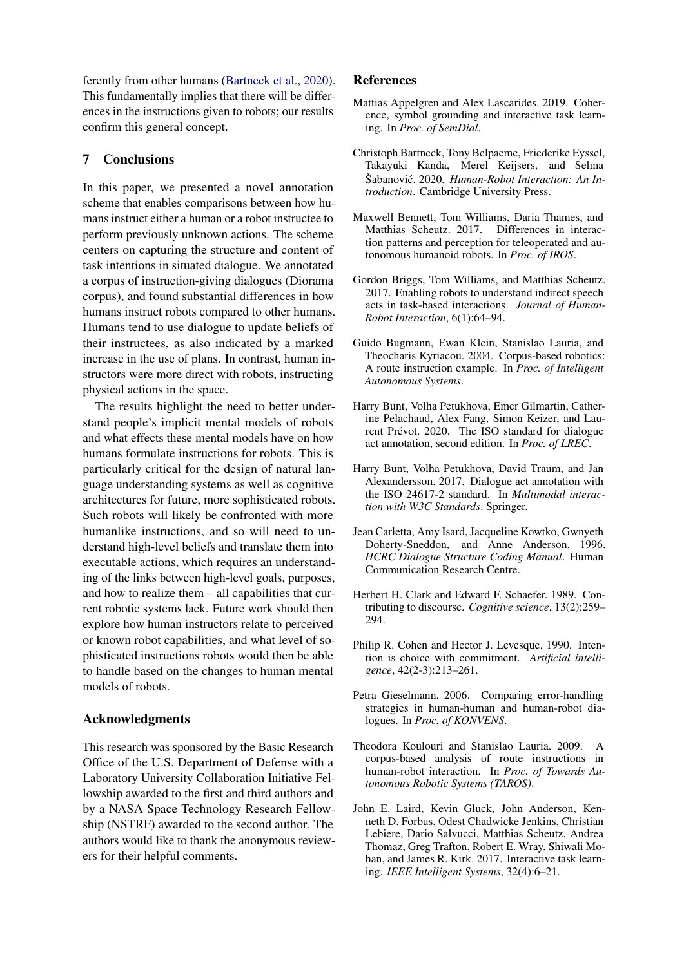ferently from other humans [\(Bartneck et al.,](#page-8-12) [2020\)](#page-8-12). This fundamentally implies that there will be differences in the instructions given to robots; our results confirm this general concept.

# 7 Conclusions

In this paper, we presented a novel annotation scheme that enables comparisons between how humans instruct either a human or a robot instructee to perform previously unknown actions. The scheme centers on capturing the structure and content of task intentions in situated dialogue. We annotated a corpus of instruction-giving dialogues (Diorama corpus), and found substantial differences in how humans instruct robots compared to other humans. Humans tend to use dialogue to update beliefs of their instructees, as also indicated by a marked increase in the use of plans. In contrast, human instructors were more direct with robots, instructing physical actions in the space.

The results highlight the need to better understand people's implicit mental models of robots and what effects these mental models have on how humans formulate instructions for robots. This is particularly critical for the design of natural language understanding systems as well as cognitive architectures for future, more sophisticated robots. Such robots will likely be confronted with more humanlike instructions, and so will need to understand high-level beliefs and translate them into executable actions, which requires an understanding of the links between high-level goals, purposes, and how to realize them – all capabilities that current robotic systems lack. Future work should then explore how human instructors relate to perceived or known robot capabilities, and what level of sophisticated instructions robots would then be able to handle based on the changes to human mental models of robots.

# Acknowledgments

This research was sponsored by the Basic Research Office of the U.S. Department of Defense with a Laboratory University Collaboration Initiative Fellowship awarded to the first and third authors and by a NASA Space Technology Research Fellowship (NSTRF) awarded to the second author. The authors would like to thank the anonymous reviewers for their helpful comments.

## References

- <span id="page-8-10"></span>Mattias Appelgren and Alex Lascarides. 2019. Coherence, symbol grounding and interactive task learning. In *Proc. of SemDial*.
- <span id="page-8-12"></span>Christoph Bartneck, Tony Belpaeme, Friederike Eyssel, Takayuki Kanda, Merel Keijsers, and Selma Šabanović. 2020. Human-Robot Interaction: An In*troduction*. Cambridge University Press.
- <span id="page-8-0"></span>Maxwell Bennett, Tom Williams, Daria Thames, and Matthias Scheutz. 2017. Differences in interaction patterns and perception for teleoperated and autonomous humanoid robots. In *Proc. of IROS*.
- <span id="page-8-8"></span>Gordon Briggs, Tom Williams, and Matthias Scheutz. 2017. Enabling robots to understand indirect speech acts in task-based interactions. *Journal of Human-Robot Interaction*, 6(1):64–94.
- <span id="page-8-5"></span>Guido Bugmann, Ewan Klein, Stanislao Lauria, and Theocharis Kyriacou. 2004. Corpus-based robotics: A route instruction example. In *Proc. of Intelligent Autonomous Systems*.
- <span id="page-8-2"></span>Harry Bunt, Volha Petukhova, Emer Gilmartin, Catherine Pelachaud, Alex Fang, Simon Keizer, and Laurent Prévot. 2020. The ISO standard for dialogue act annotation, second edition. In *Proc. of LREC*.
- <span id="page-8-1"></span>Harry Bunt, Volha Petukhova, David Traum, and Jan Alexandersson. 2017. Dialogue act annotation with the ISO 24617-2 standard. In *Multimodal interaction with W3C Standards*. Springer.
- <span id="page-8-3"></span>Jean Carletta, Amy Isard, Jacqueline Kowtko, Gwnyeth Doherty-Sneddon, and Anne Anderson. 1996. *HCRC Dialogue Structure Coding Manual*. Human Communication Research Centre.
- <span id="page-8-11"></span>Herbert H. Clark and Edward F. Schaefer. 1989. Contributing to discourse. *Cognitive science*, 13(2):259– 294.
- <span id="page-8-4"></span>Philip R. Cohen and Hector J. Levesque. 1990. Intention is choice with commitment. *Artificial intelligence*, 42(2-3):213–261.
- <span id="page-8-7"></span>Petra Gieselmann. 2006. Comparing error-handling strategies in human-human and human-robot dialogues. In *Proc. of KONVENS*.
- <span id="page-8-6"></span>Theodora Koulouri and Stanislao Lauria. 2009. A corpus-based analysis of route instructions in human-robot interaction. In *Proc. of Towards Autonomous Robotic Systems (TAROS)*.
- <span id="page-8-9"></span>John E. Laird, Kevin Gluck, John Anderson, Kenneth D. Forbus, Odest Chadwicke Jenkins, Christian Lebiere, Dario Salvucci, Matthias Scheutz, Andrea Thomaz, Greg Trafton, Robert E. Wray, Shiwali Mohan, and James R. Kirk. 2017. Interactive task learning. *IEEE Intelligent Systems*, 32(4):6–21.